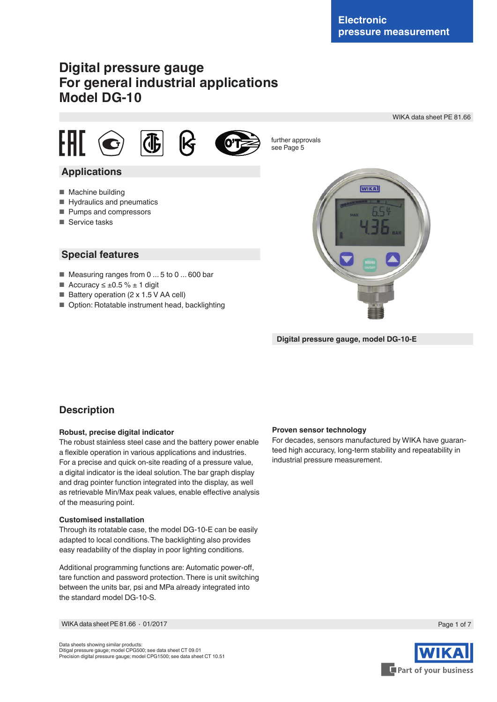WIKA data sheet PE 81.66

# **Digital pressure gauge For general industrial applications Model DG-10**



further approvals see Page 5

### **Applications**

- Machine building
- Hydraulics and pneumatics
- Pumps and compressors
- Service tasks

### **Special features**

- Measuring ranges from 0 ... 5 to 0 ... 600 bar
- Accuracy  $\leq \pm 0.5$  %  $\pm$  1 digit
- Battery operation (2 x 1.5 V AA cell)
- Option: Rotatable instrument head, backlighting



**Digital pressure gauge, model DG-10-E**

### **Description**

#### **Robust, precise digital indicator**

The robust stainless steel case and the battery power enable a flexible operation in various applications and industries. For a precise and quick on-site reading of a pressure value, a digital indicator is the ideal solution. The bar graph display and drag pointer function integrated into the display, as well as retrievable Min/Max peak values, enable effective analysis of the measuring point.

#### **Customised installation**

Through its rotatable case, the model DG-10-E can be easily adapted to local conditions. The backlighting also provides easy readability of the display in poor lighting conditions.

Additional programming functions are: Automatic power-off, tare function and password protection. There is unit switching between the units bar, psi and MPa already integrated into the standard model DG-10-S.

WIKA data sheet PE 81.66 ⋅ 01/2017 Page 1 of 7

#### Data sheets showing similar products: Ditigal pressure gauge; model CPG500; see data sheet CT 09.01 Precision digital pressure gauge; model CPG1500; see data sheet CT 10.51

#### **Proven sensor technology**

For decades, sensors manufactured by WIKA have guaranteed high accuracy, long-term stability and repeatability in industrial pressure measurement.

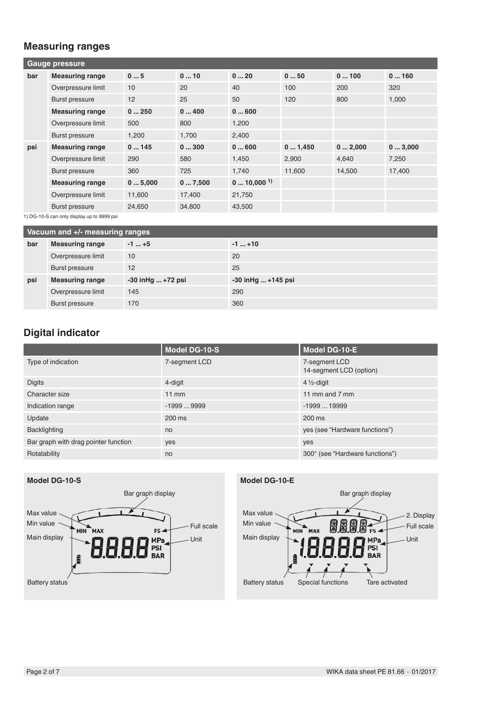## **Measuring ranges**

| Gauge pressure                            |                        |        |        |          |        |        |        |
|-------------------------------------------|------------------------|--------|--------|----------|--------|--------|--------|
| bar                                       | <b>Measuring range</b> | 05     | 010    | 020      | 050    | 0100   | 0160   |
|                                           | Overpressure limit     | 10     | 20     | 40       | 100    | 200    | 320    |
|                                           | <b>Burst pressure</b>  | 12     | 25     | 50       | 120    | 800    | 1,000  |
|                                           | <b>Measuring range</b> | 0250   | 0400   | 0600     |        |        |        |
|                                           | Overpressure limit     | 500    | 800    | 1,200    |        |        |        |
|                                           | <b>Burst pressure</b>  | 1,200  | 1,700  | 2,400    |        |        |        |
| psi                                       | <b>Measuring range</b> | 0145   | 0300   | 0600     | 01,450 | 02,000 | 03,000 |
|                                           | Overpressure limit     | 290    | 580    | 1,450    | 2,900  | 4,640  | 7,250  |
|                                           | <b>Burst pressure</b>  | 360    | 725    | 1,740    | 11,600 | 14,500 | 17,400 |
|                                           | <b>Measuring range</b> | 05,000 | 07,500 | 010,0001 |        |        |        |
|                                           | Overpressure limit     | 11,600 | 17,400 | 21,750   |        |        |        |
|                                           | <b>Burst pressure</b>  | 24,650 | 34,800 | 43,500   |        |        |        |
| $1102102$ con only diaplay up to 0000 poi |                        |        |        |          |        |        |        |

1) DG-10-S can only display up to 9999 psi

| Vacuum and +/- measuring ranges |                        |                        |                          |
|---------------------------------|------------------------|------------------------|--------------------------|
| bar                             | <b>Measuring range</b> | $-1$ $+5$              | $-1+10$                  |
|                                 | Overpressure limit     | 10                     | 20                       |
|                                 | Burst pressure         | 12                     | 25                       |
| psi                             | <b>Measuring range</b> | $-30$ in Hg $$ +72 psi | $-30$ in Hg $ + 145$ psi |
|                                 | Overpressure limit     | 145                    | 290                      |
|                                 | <b>Burst pressure</b>  | 170                    | 360                      |

### **Digital indicator**

|                                      | <b>Model DG-10-S</b> | <b>Model DG-10-E</b>                     |
|--------------------------------------|----------------------|------------------------------------------|
| Type of indication                   | 7-segment LCD        | 7-segment LCD<br>14-segment LCD (option) |
| <b>Digits</b>                        | 4-digit              | $4\frac{1}{2}$ -digit                    |
| Character size                       | $11 \text{ mm}$      | 11 mm and 7 mm                           |
| Indication range                     | $-19999999$          | $-199919999$                             |
| Update                               | $200 \text{ ms}$     | 200 ms                                   |
| <b>Backlighting</b>                  | no                   | yes (see "Hardware functions")           |
| Bar graph with drag pointer function | yes                  | yes                                      |
| Rotatability                         | no                   | 300° (see "Hardware functions")          |

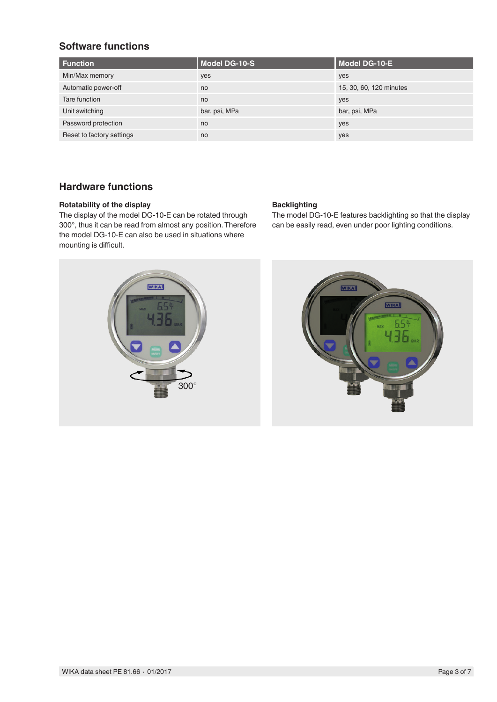### **Software functions**

| <b>Function</b>           | <b>Model DG-10-S</b> | Model DG-10-E           |
|---------------------------|----------------------|-------------------------|
| Min/Max memory            | yes                  | yes                     |
| Automatic power-off       | no                   | 15, 30, 60, 120 minutes |
| Tare function             | no                   | yes                     |
| Unit switching            | bar, psi, MPa        | bar, psi, MPa           |
| Password protection       | no                   | yes                     |
| Reset to factory settings | no                   | yes                     |

### **Hardware functions**

#### **Rotatability of the display**

The display of the model DG-10-E can be rotated through 300°, thus it can be read from almost any position. Therefore the model DG-10-E can also be used in situations where mounting is difficult.

#### **Backlighting**

The model DG-10-E features backlighting so that the display can be easily read, even under poor lighting conditions.



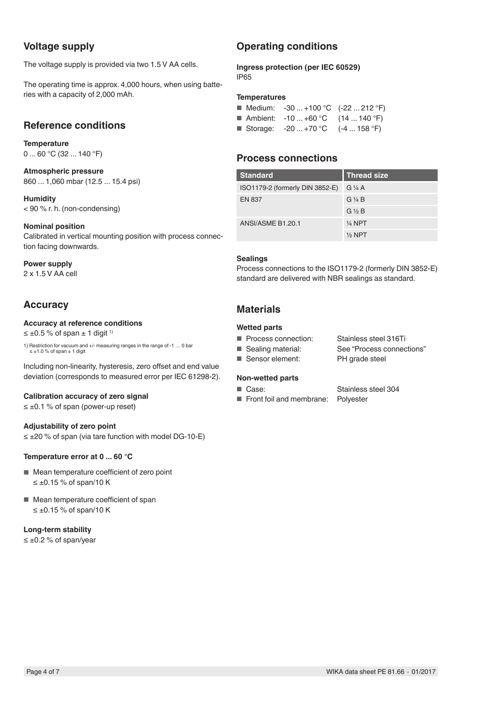### **Voltage supply**

The voltage supply is provided via two 1.5 V AA cells.

The operating time is approx. 4,000 hours, when using batteries with a capacity of 2,000 mAh.

### **Reference conditions**

**Temperature** 0 ... 60 °C (32 ... 140 °F)

**Atmospheric pressure** 860 ... 1,060 mbar (12.5 ... 15.4 psi)

**Humidity** < 90 % r. h. (non-condensing)

#### **Nominal position**

Calibrated in vertical mounting position with process connection facing downwards.

#### **Power supply**

2 x 1.5 V AA cell

### **Accuracy**

#### **Accuracy at reference conditions**

 $≤ ±0.5 %$  of span  $± 1$  digit<sup>1)</sup>

1) Restriction for vacuum and +/- measuring ranges in the range of -1 … 0 bar ≤ ±1.0 % of span ± 1 digit

Including non-linearity, hysteresis, zero offset and end value deviation (corresponds to measured error per IEC 61298-2).

#### **Calibration accuracy of zero signal**

≤ ±0.1 % of span (power-up reset)

#### **Adjustability of zero point**

≤ ±20 % of span (via tare function with model DG-10-E)

#### **Temperature error at 0 ... 60 °C**

- Mean temperature coefficient of zero point  $≤ ±0.15 %$  of span/10 K
- Mean temperature coefficient of span  $≤ ±0.15 %$  of span/10 K

#### **Long-term stability**

≤ ±0.2 % of span/year

### **Operating conditions**

**Ingress protection (per IEC 60529)** IP65

#### **Temperatures**

| Medium: $-30+100$ °C $(-22212$ °F)        |  |
|-------------------------------------------|--|
| <b>Ambient:</b> $-10+60$ °C $(14140)$ °F) |  |
| ■ Storage: $-20+70$ °C $(-4158)$ °F)      |  |

### **Process connections**

| <b>Standard</b>                 | <b>Thread size</b>    |
|---------------------------------|-----------------------|
| ISO1179-2 (formerly DIN 3852-E) | $G\mathcal{V}_4$ A    |
| EN 837                          | $G\mathrel{\vee} A B$ |
|                                 | $G \nless B$          |
| ANSI/ASME B1.20.1               | $\frac{1}{4}$ NPT     |
|                                 | $\frac{1}{2}$ NPT     |

#### **Sealings**

Process connections to the ISO1179-2 (formerly DIN 3852-E) standard are delivered with NBR sealings as standard.

### **Materials**

#### **Wetted parts**

- Process connection: Stainless steel 316Ti
- 
- Sensor element: PH grade steel

#### **Non-wetted parts**

- 
- Front foil and membrane: Polyester

■ Sealing material: See "Process connections"

■ Case: Stainless steel 304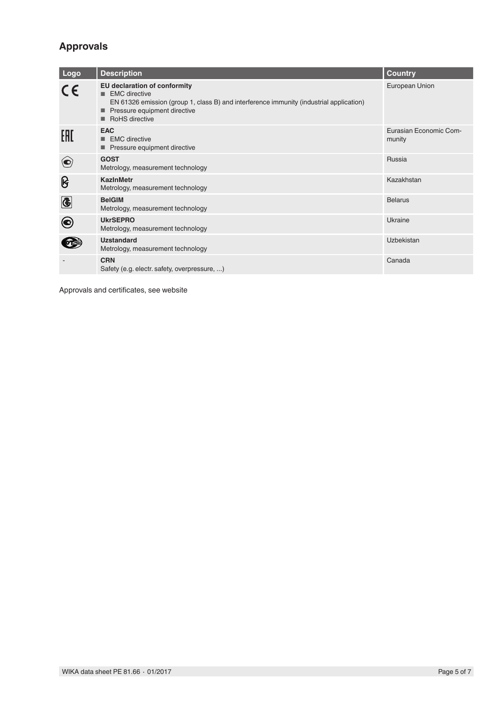# **Approvals**

| Logo                     | <b>Description</b>                                                                                                                                                                                               | <b>Country</b>                   |
|--------------------------|------------------------------------------------------------------------------------------------------------------------------------------------------------------------------------------------------------------|----------------------------------|
| CE                       | EU declaration of conformity<br>$\blacksquare$ EMC directive<br>EN 61326 emission (group 1, class B) and interference immunity (industrial application)<br>Pressure equipment directive<br><b>RoHS</b> directive | European Union                   |
| EAC                      | <b>EAC</b><br><b>EMC</b> directive<br>Pressure equipment directive                                                                                                                                               | Eurasian Economic Com-<br>munity |
| $\left( \bullet \right)$ | <b>GOST</b><br>Metrology, measurement technology                                                                                                                                                                 | <b>Russia</b>                    |
| ၆                        | <b>KazinMetr</b><br>Metrology, measurement technology                                                                                                                                                            | Kazakhstan                       |
| $\bigcirc$               | <b>BelGIM</b><br>Metrology, measurement technology                                                                                                                                                               | <b>Belarus</b>                   |
| $\boldsymbol{\Theta}$    | <b>UkrSEPRO</b><br>Metrology, measurement technology                                                                                                                                                             | Ukraine                          |
|                          | <b>Uzstandard</b><br>Metrology, measurement technology                                                                                                                                                           | Uzbekistan                       |
|                          | <b>CRN</b><br>Safety (e.g. electr. safety, overpressure, )                                                                                                                                                       | Canada                           |

Approvals and certificates, see website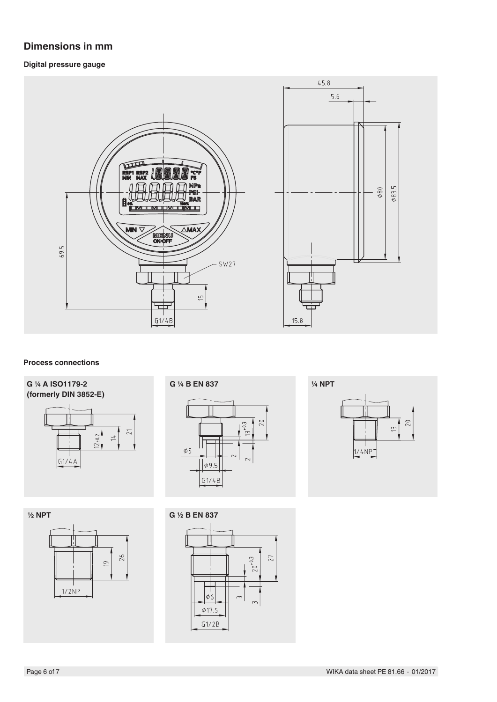### **Dimensions in mm**

### **Digital pressure gauge**



#### **Process connections**